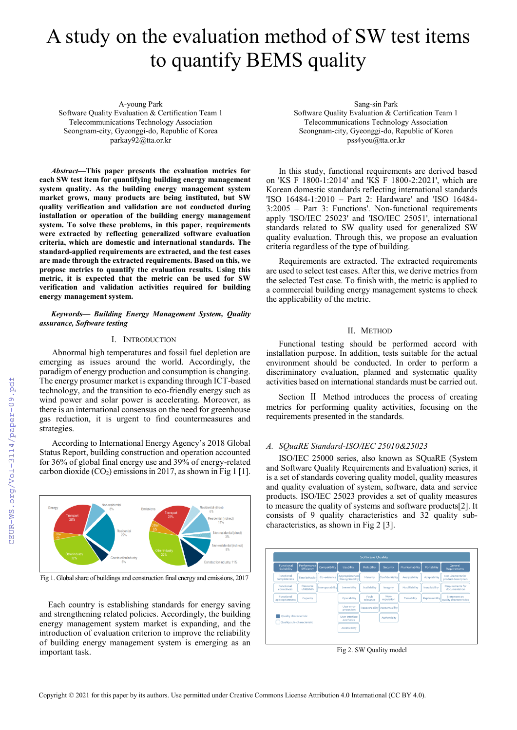# A study on the evaluation method of SW test items to quantify BEMS quality

A-young Park

Software Quality Evaluation & Certification Team 1 Telecommunications Technology Association Seongnam-city, Gyeonggi-do, Republic of Korea parkay92@tta.or.kr

*Abstract***—This paper presents the evaluation metrics for each SW test item for quantifying building energy management system quality. As the building energy management system market grows, many products are being instituted, but SW quality verification and validation are not conducted during installation or operation of the building energy management system. To solve these problems, in this paper, requirements were extracted by reflecting generalized software evaluation criteria, which are domestic and international standards. The standard-applied requirements are extracted, and the test cases are made through the extracted requirements. Based on this, we propose metrics to quantify the evaluation results. Using this metric, it is expected that the metric can be used for SW verification and validation activities required for building energy management system.**

#### *Keywords— Building Energy Management System, Quality assurance, Software testing*

## I. INTRODUCTION

Abnormal high temperatures and fossil fuel depletion are emerging as issues around the world. Accordingly, the paradigm of energy production and consumption is changing. The energy prosumer market is expanding through ICT-based technology, and the transition to eco-friendly energy such as wind power and solar power is accelerating. Moreover, as there is an international consensus on the need for greenhouse gas reduction, it is urgent to find countermeasures and strategies.

According to International Energy Agency's 2018 Global Status Report, building construction and operation accounted for 36% of global final energy use and 39% of energy-related carbon dioxide  $(CO_2)$  emissions in 2017, as shown in Fig 1 [1].



Fig 1. Global share of buildings and construction final energy and emissions, 2017

Each country is establishing standards for energy saving and strengthening related policies. Accordingly, the building energy management system market is expanding, and the introduction of evaluation criterion to improve the reliability of building energy management system is emerging as an important task.

Sang-sin Park Software Quality Evaluation & Certification Team 1 Telecommunications Technology Association Seongnam-city, Gyeonggi-do, Republic of Korea pss4you@tta.or.kr

In this study, functional requirements are derived based on 'KS F 1800-1:2014' and 'KS F 1800-2:2021', which are Korean domestic standards reflecting international standards 'ISO 16484-1:2010 – Part 2: Hardware' and 'ISO 16484- 3:2005 – Part 3: Functions'. Non-functional requirements apply 'ISO/IEC 25023' and 'ISO/IEC 25051', international standards related to SW quality used for generalized SW quality evaluation. Through this, we propose an evaluation criteria regardless of the type of building.

Requirements are extracted. The extracted requirements are used to select test cases. After this, we derive metrics from the selected Test case. To finish with, the metric is applied to a commercial building energy management systems to check the applicability of the metric.

#### II. METHOD

Functional testing should be performed accord with installation purpose. In addition, tests suitable for the actual environment should be conducted. In order to perform a discriminatory evaluation, planned and systematic quality activities based on international standards must be carried out.

Section Ⅱ Method introduces the process of creating metrics for performing quality activities, focusing on the requirements presented in the standards.

## *A. SQuaRE Standard-ISO/IEC 25010&25023*

ISO/IEC 25000 series, also known as SQuaRE (System and Software Quality Requirements and Evaluation) series, it is a set of standards covering quality model, quality measures and quality evaluation of system, software, data and service products. ISO/IEC 25023 provides a set of quality measures to measure the quality of systems and software products[2]. It consists of 9 quality characteristics and 32 quality subcharacteristics, as shown in Fig 2 [3].



Fig 2. SW Quality model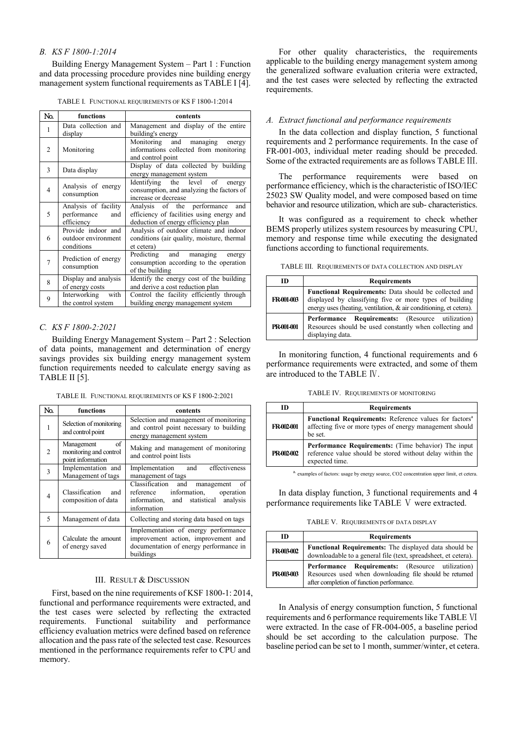## *B. KS F 1800-1:2014*

Building Energy Management System – Part 1 : Function and data processing procedure provides nine building energy management system functional requirements as TABLE I [4].

|  |  | TABLE I. FUNCTIONAL REQUIREMENTS OF KS F 1800-1:2014 |  |  |  |  |
|--|--|------------------------------------------------------|--|--|--|--|
|--|--|------------------------------------------------------|--|--|--|--|

| No. | functions            | contents                                   |
|-----|----------------------|--------------------------------------------|
|     |                      |                                            |
| 1   | Data collection and  | Management and display of the entire       |
|     | display              | building's energy                          |
|     |                      | managing<br>Monitoring and<br>energy       |
| 2   | Monitoring           | informations collected from monitoring     |
|     |                      | and control point                          |
|     |                      | Display of data collected by building      |
| 3   | Data display         | energy management system                   |
|     |                      | Identifying the level of<br>energy         |
| 4   | Analysis of energy   | consumption, and analyzing the factors of  |
|     | consumption          | increase or decrease                       |
|     | Analysis of facility | Analysis of the performance<br>and         |
| 5   | performance<br>and   | efficiency of facilities using energy and  |
|     | efficiency           |                                            |
|     |                      | deduction of energy efficiency plan        |
|     | Provide indoor and   | Analysis of outdoor climate and indoor     |
| 6   | outdoor environment  | conditions (air quality, moisture, thermal |
|     | conditions           | et cetera)                                 |
|     | Prediction of energy | Predicting and managing<br>energy          |
| 7   | consumption          | consumption according to the operation     |
|     |                      | of the building                            |
| 8   | Display and analysis | Identify the energy cost of the building   |
|     | of energy costs      | and derive a cost reduction plan           |
|     | Interworking<br>with | Control the facility efficiently through   |
| 9   | the control system   | building energy management system          |

## *C. KS F 1800-2:2021*

Building Energy Management System – Part 2 : Selection of data points, management and determination of energy savings provides six building energy management system function requirements needed to calculate energy saving as TABLE II [5].

TABLE II. FUNCTIONAL REQUIREMENTS OF KS F 1800-2:2021

| No. | functions                                                       | contents                                                                                                                                        |
|-----|-----------------------------------------------------------------|-------------------------------------------------------------------------------------------------------------------------------------------------|
| 1   | Selection of monitoring<br>and control point                    | Selection and management of monitoring<br>and control point necessary to building<br>energy management system                                   |
| 2   | of<br>Management<br>monitoring and control<br>point information | Making and management of monitoring<br>and control point lists                                                                                  |
| 3   | Implementation and<br>Management of tags                        | effectiveness<br>Implementation and<br>management of tags                                                                                       |
| 4   | Classification<br>and<br>composition of data                    | Classification and<br>-of<br>management<br>information.<br>reference<br>operation<br>statistical<br>information, and<br>analysis<br>information |
| 5   | Management of data                                              | Collecting and storing data based on tags                                                                                                       |
| 6   | Calculate the amount<br>of energy saved                         | Implementation of energy performance<br>improvement action, improvement and<br>documentation of energy performance in<br>buildings              |

#### III. RESULT & DISCUSSION

First, based on the nine requirements of KSF 1800-1: 2014, functional and performance requirements were extracted, and the test cases were selected by reflecting the extracted requirements. Functional suitability and performance efficiency evaluation metrics were defined based on reference allocation and the pass rate of the selected test case. Resources mentioned in the performance requirements refer to CPU and memory.

For other quality characteristics, the requirements applicable to the building energy management system among the generalized software evaluation criteria were extracted, and the test cases were selected by reflecting the extracted requirements.

## *A. Extract functional and performance requirements*

In the data collection and display function, 5 functional requirements and 2 performance requirements. In the case of FR-001-003, individual meter reading should be preceded. Some of the extracted requirements are as follows TABLE Ⅲ.

The performance requirements were based on performance efficiency, which is the characteristic of ISO/IEC 25023 SW Quality model, and were composed based on time behavior and resource utilization, which are sub- characteristics.

It was configured as a requirement to check whether BEMS properly utilizes system resources by measuring CPU, memory and response time while executing the designated functions according to functional requirements.

|  |  |  | TABLE III. REQUIREMENTS OF DATA COLLECTION AND DISPLAY |
|--|--|--|--------------------------------------------------------|
|--|--|--|--------------------------------------------------------|

| m          | <b>Requirements</b>                                                                                                                                                                           |
|------------|-----------------------------------------------------------------------------------------------------------------------------------------------------------------------------------------------|
| FR-001-003 | <b>Functional Requirements:</b> Data should be collected and<br>displayed by classifying five or more types of building<br>energy uses (heating, ventilation, & air conditioning, et cetera). |
| PR-001-001 | <b>Performance Requirements:</b> (Resource utilization)<br>Resources should be used constantly when collecting and<br>displaying data.                                                        |

In monitoring function, 4 functional requirements and 6 performance requirements were extracted, and some of them are introduced to the TABLE Ⅳ.

TABLE IV. REQUIREMENTS OF MONITORING

| m          | <b>Requirements</b>                                                                                                                              |
|------------|--------------------------------------------------------------------------------------------------------------------------------------------------|
| FR-002-001 | <b>Functional Requirements:</b> Reference values for factors <sup>a</sup><br>affecting five or more types of energy management should<br>be set. |
| PR-002-002 | <b>Performance Requirements:</b> (Time behavior) The input<br>reference value should be stored without delay within the<br>expected time.        |

a. examples of factors: usage by energy source, CO2 concentration upper limit, et cetera.

In data display function, 3 functional requirements and 4 performance requirements like TABLE Ⅴ were extracted.

TABLE V. REQUIREMENTS OF DATA DISPLAY

| m          | <b>Requirements</b>                                                                                                                                             |
|------------|-----------------------------------------------------------------------------------------------------------------------------------------------------------------|
| FR-003-002 | <b>Functional Requirements:</b> The displayed data should be<br>downloadable to a general file (text, spreadsheet, et cetera).                                  |
| PR-003-003 | <b>Performance Requirements:</b> (Resource utilization)<br>Resources used when downloading file should be returned<br>after completion of function performance. |

In Analysis of energy consumption function, 5 functional requirements and 6 performance requirements like TABLE Ⅵ were extracted. In the case of FR-004-005, a baseline period should be set according to the calculation purpose. The baseline period can be set to 1 month, summer/winter, et cetera.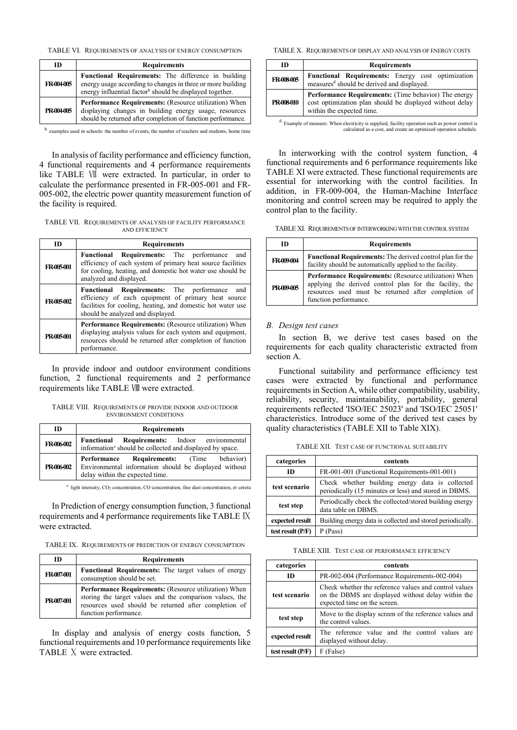TABLE VI. REQUIREMENTS OF ANALYSIS OF ENERGY CONSUMPTION

| ID         | <b>Requirements</b>                                                                                                                                                                               |
|------------|---------------------------------------------------------------------------------------------------------------------------------------------------------------------------------------------------|
| FR-004-005 | <b>Functional Requirements:</b> The difference in building<br>energy usage according to changes in three or more building<br>energy influential factor <sup>b</sup> should be displayed together. |
| PR-004-005 | <b>Performance Requirements:</b> (Resource utilization) When<br>displaying changes in building energy usage, resources<br>should be returned after completion of function performance.            |
|            |                                                                                                                                                                                                   |

b. examples used in schools: the number of events, the number of teachers and students, home time

In analysis of facility performance and efficiency function, 4 functional requirements and 4 performance requirements like TABLE Ⅶ were extracted. In particular, in order to calculate the performance presented in FR-005-001 and FR-005-002, the electric power quantity measurement function of the facility is required.

TABLE VII. REQUIREMENTS OF ANALYSIS OF FACILITY PERFORMANCE AND EFFICIENCY

| <b>ID</b>  | <b>Requirements</b>                                                                                                                                                                                               |
|------------|-------------------------------------------------------------------------------------------------------------------------------------------------------------------------------------------------------------------|
| FR-005-001 | <b>Functional Requirements:</b> The performance and<br>efficiency of each system of primary heat source facilities<br>for cooling, heating, and domestic hot water use should be<br>analyzed and displayed.       |
| FR-005-002 | <b>Functional Requirements:</b> The performance<br>and<br>efficiency of each equipment of primary heat source<br>facilities for cooling, heating, and domestic hot water use<br>should be analyzed and displayed. |
| PR-005-001 | <b>Performance Requirements:</b> (Resource utilization) When<br>displaying analysis values for each system and equipment,<br>resources should be returned after completion of function<br>performance.            |

In provide indoor and outdoor environment conditions function, 2 functional requirements and 2 performance requirements like TABLE Ⅷ were extracted.

TABLE VIII. REQUIREMENTS OF PROVIDE INDOOR AND OUTDOOR ENVIRONMENT CONDITIONS

| ID         | <b>Requirements</b>                                                                                                                   |  |  |
|------------|---------------------------------------------------------------------------------------------------------------------------------------|--|--|
| FR-006-002 | <b>Requirements:</b> Indoor environmental<br>Functional<br>information <sup>c</sup> should be collected and displayed by space.       |  |  |
| PR-006-002 | Performance Requirements: (Time behavior)<br>Environmental information should be displayed without<br>delay within the expected time. |  |  |

<sup>c.</sup> light intensity, CO<sub>2</sub> concentration, CO concentration, fine dust concentration, et cetera

In Prediction of energy consumption function, 3 functional requirements and 4 performance requirements like TABLE Ⅸ were extracted.

TABLE IX. REQUIREMENTS OF PREDICTION OF ENERGY CONSUMPTION

| m          | <b>Requirements</b>                                                                                                                                                                                        |
|------------|------------------------------------------------------------------------------------------------------------------------------------------------------------------------------------------------------------|
| FR-007-001 | Functional Requirements: The target values of energy<br>consumption should be set.                                                                                                                         |
| PR-007-001 | <b>Performance Requirements:</b> (Resource utilization) When<br>storing the target values and the comparison values, the<br>resources used should be returned after completion of<br>function performance. |

In display and analysis of energy costs function, 5 functional requirements and 10 performance requirements like TABLE Ⅹ were extracted.

TABLE X. REQUIREMENTS OF DISPLAY AND ANALYSIS OF ENERGY COSTS

| ID         | <b>Requirements</b>                                                                                                                                  |  |
|------------|------------------------------------------------------------------------------------------------------------------------------------------------------|--|
| FR-008-005 | <b>Functional Requirements:</b> Energy cost optimization<br>measures <sup>d</sup> should be derived and displayed.                                   |  |
| PR-008-010 | <b>Performance Requirements:</b> (Time behavior) The energy<br>cost optimization plan should be displayed without delay<br>within the expected time. |  |
|            |                                                                                                                                                      |  |

d. Example of measure: When electricity is supplied, facility operation such as power control is calculated as a cost, and create an optimized operation schedule.

In interworking with the control system function, 4 functional requirements and 6 performance requirements like TABLE XI were extracted. These functional requirements are essential for interworking with the control facilities. In addition, in FR-009-004, the Human-Machine Interface monitoring and control screen may be required to apply the control plan to the facility.

TABLE XI. REQUIREMENTS OF INTERWORKING WITH THECONTROL SYSTEM

| ID         | <b>Requirements</b>                                                                                                                                                                                     |  |
|------------|---------------------------------------------------------------------------------------------------------------------------------------------------------------------------------------------------------|--|
| FR-009-004 | <b>Functional Requirements:</b> The derived control plan for the<br>facility should be automatically applied to the facility.                                                                           |  |
| PR-009-005 | <b>Performance Requirements:</b> (Resource utilization) When<br>applying the derived control plan for the facility, the<br>resources used must be returned after completion of<br>function performance. |  |

#### *B. Design test cases*

In section B, we derive test cases based on the requirements for each quality characteristic extracted from section A.

Functional suitability and performance efficiency test cases were extracted by functional and performance requirements in Section A, while other compatibility, usability, reliability, security, maintainability, portability, general requirements reflected 'ISO/IEC 25023' and 'ISO/IEC 25051' characteristics. Introduce some of the derived test cases by quality characteristics (TABLE XII to Table XIX).

TABLE XII. TEST CASE OF FUNCTIONAL SUITABILITY

| categories          | contents                                                                                                 |  |
|---------------------|----------------------------------------------------------------------------------------------------------|--|
| ID                  | FR-001-001 (Functional Requirements-001-001)                                                             |  |
| test scenario       | Check whether building energy data is collected<br>periodically (15 minutes or less) and stored in DBMS. |  |
| test step           | Periodically check the collected/stored building energy<br>data table on DBMS.                           |  |
| expected result     | Building energy data is collected and stored periodically.                                               |  |
| test result $(P/F)$ | P (Pass)                                                                                                 |  |

TABLE XIII. TEST CASE OF PERFORMANCE EFFICIENCY

| categories        | contents                                                                                                                                    |  |
|-------------------|---------------------------------------------------------------------------------------------------------------------------------------------|--|
| ID                | PR-002-004 (Performance Requirements-002-004)                                                                                               |  |
| test scenario     | Check whether the reference values and control values<br>on the DBMS are displayed without delay within the<br>expected time on the screen. |  |
| test step         | Move to the display screen of the reference values and<br>the control values.                                                               |  |
| expected result   | The reference value and the control values are<br>displayed without delay.                                                                  |  |
| test result (P/F) | F (False)                                                                                                                                   |  |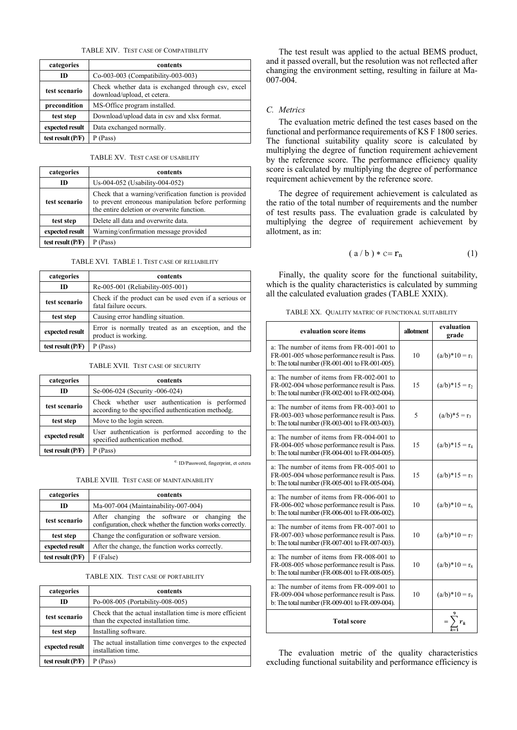TABLE XIV. TEST CASE OF COMPATIBILITY

| categories          | contents                                                                          |  |
|---------------------|-----------------------------------------------------------------------------------|--|
| m                   | Co-003-003 (Compatibility-003-003)                                                |  |
| test scenario       | Check whether data is exchanged through csv, excel<br>download/upload, et cetera. |  |
| precondition        | MS-Office program installed.                                                      |  |
| test step           | Download/upload data in csv and xlsx format.                                      |  |
| expected result     | Data exchanged normally.                                                          |  |
| test result $(P/F)$ | P (Pass)                                                                          |  |

TABLE XV. TEST CASE OF USABILITY

| categories          | contents                                                                                                                                                    |  |
|---------------------|-------------------------------------------------------------------------------------------------------------------------------------------------------------|--|
| m                   | Us-004-052 (Usability-004-052)                                                                                                                              |  |
| test scenario       | Check that a warning/verification function is provided<br>to prevent erroneous manipulation before performing<br>the entire deletion or overwrite function. |  |
| test step           | Delete all data and overwrite data.                                                                                                                         |  |
| expected result     | Warning/confirmation message provided                                                                                                                       |  |
| test result $(P/F)$ | (Pass)<br>P                                                                                                                                                 |  |

TABLE XVI. TABLE 1. TEST CASE OF RELIABILITY

| categories          | contents                                                                       |  |
|---------------------|--------------------------------------------------------------------------------|--|
| ID                  | Re-005-001 (Reliability-005-001)                                               |  |
| test scenario       | Check if the product can be used even if a serious or<br>fatal failure occurs. |  |
| test step           | Causing error handling situation.                                              |  |
| expected result     | Error is normally treated as an exception, and the<br>product is working.      |  |
| test result $(P/F)$ | P (Pass)                                                                       |  |

TABLE XVII. TEST CASE OF SECURITY

| categories          | contents                                                                                             |  |
|---------------------|------------------------------------------------------------------------------------------------------|--|
| m                   | Se-006-024 (Security -006-024)                                                                       |  |
| test scenario       | Check whether user authentication is performed<br>according to the specified authentication methodg. |  |
| test step           | Move to the login screen.                                                                            |  |
| expected result     | User authentication is performed according to the<br>specified authentication method.                |  |
| test result $(P/F)$ | P (Pass)                                                                                             |  |

e. ID/Password, fingerprint, et cetera

TABLE XVIII. TEST CASE OF MAINTAINABILITY

| categories          | contents                                                                                                     |  |
|---------------------|--------------------------------------------------------------------------------------------------------------|--|
| m                   | Ma-007-004 (Maintainability-007-004)                                                                         |  |
| test scenario       | After changing the software or changing<br>the<br>configuration, check whether the function works correctly. |  |
| test step           | Change the configuration or software version.                                                                |  |
| expected result     | After the change, the function works correctly.                                                              |  |
| test result $(P/F)$ | F (False)                                                                                                    |  |

TABLE XIX. TEST CASE OF PORTABILITY

| categories          | contents                                                                                          |  |
|---------------------|---------------------------------------------------------------------------------------------------|--|
| m                   | Po-008-005 (Portability-008-005)                                                                  |  |
| test scenario       | Check that the actual installation time is more efficient<br>than the expected installation time. |  |
| test step           | Installing software.                                                                              |  |
| expected result     | The actual installation time converges to the expected<br>installation time.                      |  |
| test result $(P/F)$ | P (Pass)                                                                                          |  |

The test result was applied to the actual BEMS product, and it passed overall, but the resolution was not reflected after changing the environment setting, resulting in failure at Ma-007-004.

## *C. Metrics*

The evaluation metric defined the test cases based on the functional and performance requirements of KS F 1800 series. The functional suitability quality score is calculated by multiplying the degree of function requirement achievement by the reference score. The performance efficiency quality score is calculated by multiplying the degree of performance requirement achievement by the reference score.

The degree of requirement achievement is calculated as the ratio of the total number of requirements and the number of test results pass. The evaluation grade is calculated by multiplying the degree of requirement achievement by allotment, as in:

$$
(a/b)*c=r_n \qquad (1)
$$

Finally, the quality score for the functional suitability, which is the quality characteristics is calculated by summing all the calculated evaluation grades (TABLE XXIX).

|  | TABLE XX. QUALITY MATRIC OF FUNCTIONAL SUITABILITY |
|--|----------------------------------------------------|
|--|----------------------------------------------------|

| evaluation score items                                                                                                                       | allotment | evaluation<br>grade   |
|----------------------------------------------------------------------------------------------------------------------------------------------|-----------|-----------------------|
| a: The number of items from FR-001-001 to<br>FR-001-005 whose performance result is Pass.<br>b: The total number (FR-001-001 to FR-001-005). | 10        | $(a/b)*10 = r_1$      |
| a: The number of items from FR-002-001 to<br>FR-002-004 whose performance result is Pass.<br>b: The total number (FR-002-001 to FR-002-004). | 15        | $(a/b)*15 = r_2$      |
| a: The number of items from FR-003-001 to<br>FR-003-003 whose performance result is Pass.<br>b: The total number (FR-003-001 to FR-003-003). | 5         | $(a/b)*5 = r_3$       |
| a: The number of items from FR-004-001 to<br>FR-004-005 whose performance result is Pass.<br>b: The total number (FR-004-001 to FR-004-005). | 15        | $(a/b)*15 = r_4$      |
| a: The number of items from FR-005-001 to<br>FR-005-004 whose performance result is Pass.<br>b: The total number (FR-005-001 to FR-005-004). | 15        | $(a/b)*15 = r_5$      |
| a: The number of items from FR-006-001 to<br>FR-006-002 whose performance result is Pass.<br>b: The total number (FR-006-001 to FR-006-002). | 10        | $(a/b)*10 = r_6$      |
| a: The number of items from FR-007-001 to<br>FR-007-003 whose performance result is Pass.<br>b: The total number (FR-007-001 to FR-007-003). | 10        | $(a/b)*10 = r_7$      |
| a: The number of items from FR-008-001 to<br>FR-008-005 whose performance result is Pass.<br>b: The total number (FR-008-001 to FR-008-005). | 10        | $(a/b)*10 = r_8$      |
| a: The number of items from FR-009-001 to<br>FR-009-004 whose performance result is Pass.<br>b: The total number (FR-009-001 to FR-009-004). | 10        | $(a/b)*10 = r_9$      |
| <b>Total score</b>                                                                                                                           |           | $=\sum_{k=1}^{n} r_k$ |

The evaluation metric of the quality characteristics excluding functional suitability and performance efficiency is